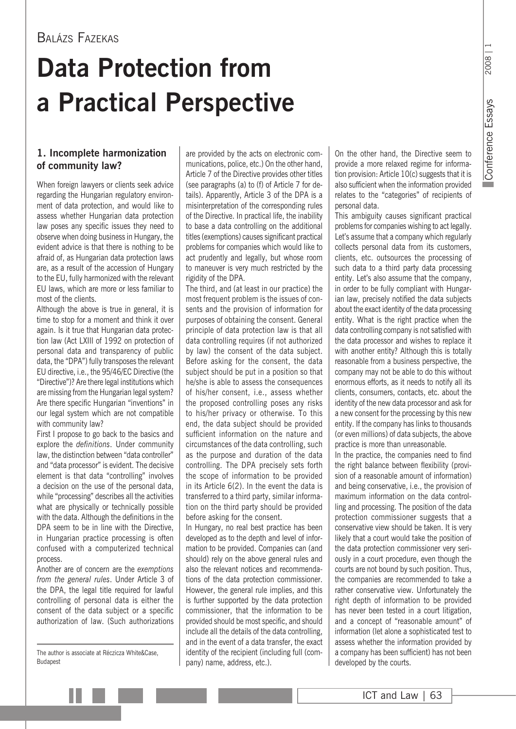### Balázs Fazekas

## **Data Protection from a Practical Perspective**

#### **1. Incomplete harmonization of community law?**

When foreign lawyers or clients seek advice regarding the Hungarian regulatory environment of data protection, and would like to assess whether Hungarian data protection law poses any specific issues they need to observe when doing business in Hungary, the evident advice is that there is nothing to be afraid of, as Hungarian data protection laws are, as a result of the accession of Hungary to the EU, fully harmonized with the relevant EU laws, which are more or less familiar to most of the clients.

Although the above is true in general, it is time to stop for a moment and think it over again. Is it true that Hungarian data protection law (Act LXIII of 1992 on protection of personal data and transparency of public data, the "DPA") fully transposes the relevant EU directive, i.e., the 95/46/EC Directive (the "Directive")? Are there legal institutions which are missing from the Hungarian legal system? Are there specific Hungarian "inventions" in our legal system which are not compatible with community law?

First I propose to go back to the basics and explore the *definitions*. Under community law, the distinction between "data controller" and "data processor" is evident. The decisive element is that data "controlling" involves a decision on the use of the personal data, while "processing" describes all the activities what are physically or technically possible with the data. Although the definitions in the DPA seem to be in line with the Directive, in Hungarian practice processing is often confused with a computerized technical process.

Another are of concern are the *exemptions from the general rules*. Under Article 3 of the DPA, the legal title required for lawful controlling of personal data is either the consent of the data subject or a specific authorization of law. (Such authorizations are provided by the acts on electronic communications, police, etc.) On the other hand, Article 7 of the Directive provides other titles (see paragraphs (a) to (f) of Article 7 for details). Apparently, Article 3 of the DPA is a misinterpretation of the corresponding rules of the Directive. In practical life, the inability to base a data controlling on the additional titles (exemptions) causes significant practical problems for companies which would like to act prudently and legally, but whose room to maneuver is very much restricted by the rigidity of the DPA.

The third, and (at least in our practice) the most frequent problem is the issues of consents and the provision of information for purposes of obtaining the consent. General principle of data protection law is that all data controlling requires (if not authorized by law) the consent of the data subject. Before asking for the consent, the data subject should be put in a position so that he/she is able to assess the consequences of his/her consent, i.e., assess whether the proposed controlling poses any risks to his/her privacy or otherwise. To this end, the data subject should be provided sufficient information on the nature and circumstances of the data controlling, such as the purpose and duration of the data controlling. The DPA precisely sets forth the scope of information to be provided in its Article 6(2). In the event the data is transferred to a third party, similar information on the third party should be provided before asking for the consent.

In Hungary, no real best practice has been developed as to the depth and level of information to be provided. Companies can (and should) rely on the above general rules and also the relevant notices and recommendations of the data protection commissioner. However, the general rule implies, and this is further supported by the data protection commissioner, that the information to be provided should be most specific, and should include all the details of the data controlling, and in the event of a data transfer, the exact identity of the recipient (including full (company) name, address, etc.).

On the other hand, the Directive seem to provide a more relaxed regime for information provision: Article 10(c) suggests that it is also sufficient when the information provided relates to the "categories" of recipients of personal data.

This ambiguity causes significant practical problems for companies wishing to act legally. Let's assume that a company which regularly collects personal data from its customers, clients, etc. outsources the processing of such data to a third party data processing entity. Let's also assume that the company, in order to be fully compliant with Hungarian law, precisely notified the data subjects about the exact identity of the data processing entity. What is the right practice when the data controlling company is not satisfied with the data processor and wishes to replace it with another entity? Although this is totally reasonable from a business perspective, the company may not be able to do this without enormous efforts, as it needs to notify all its clients, consumers, contacts, etc. about the identity of the new data processor and ask for a new consent for the processing by this new entity. If the company has links to thousands (or even millions) of data subjects, the above practice is more than unreasonable.

In the practice, the companies need to find the right balance between flexibility (provision of a reasonable amount of information) and being conservative, i.e., the provision of maximum information on the data controlling and processing. The position of the data protection commissioner suggests that a conservative view should be taken. It is very likely that a court would take the position of the data protection commissioner very seriously in a court procedure, even though the courts are not bound by such position. Thus, the companies are recommended to take a rather conservative view. Unfortunately the right depth of information to be provided has never been tested in a court litigation, and a concept of "reasonable amount" of information (let alone a sophisticated test to assess whether the information provided by a company has been sufficient) has not been developed by the courts.

The author is associate at Réczicza White&Case, Budapest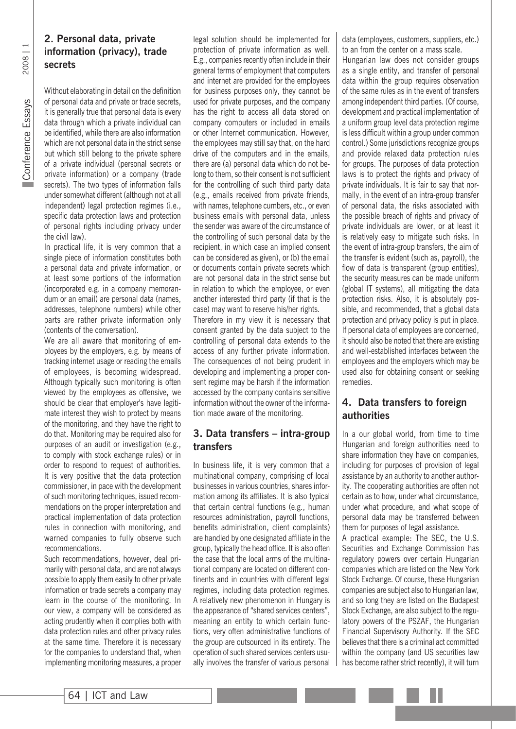# 2008 | 1 Conference Essays Conference Essays

#### **2. Personal data, private information (privacy), trade secrets**

Without elaborating in detail on the definition of personal data and private or trade secrets, it is generally true that personal data is every data through which a private individual can be identified, while there are also information which are not personal data in the strict sense but which still belong to the private sphere of a private individual (personal secrets or private information) or a company (trade secrets). The two types of information falls under somewhat different (although not at all independent) legal protection regimes (i.e., specific data protection laws and protection of personal rights including privacy under the civil law).

In practical life, it is very common that a single piece of information constitutes both a personal data and private information, or at least some portions of the information (incorporated e.g. in a company memorandum or an email) are personal data (names, addresses, telephone numbers) while other parts are rather private information only (contents of the conversation).

We are all aware that monitoring of employees by the employers, e.g. by means of tracking internet usage or reading the emails of employees, is becoming widespread. Although typically such monitoring is often viewed by the employees as offensive, we should be clear that employer's have legitimate interest they wish to protect by means of the monitoring, and they have the right to do that. Monitoring may be required also for purposes of an audit or investigation (e.g., to comply with stock exchange rules) or in order to respond to request of authorities. It is very positive that the data protection commissioner, in pace with the development of such monitoring techniques, issued recommendations on the proper interpretation and practical implementation of data protection rules in connection with monitoring, and warned companies to fully observe such recommendations.

Such recommendations, however, deal primarily with personal data, and are not always possible to apply them easily to other private information or trade secrets a company may learn in the course of the monitoring. In our view, a company will be considered as acting prudently when it complies both with data protection rules and other privacy rules at the same time. Therefore it is necessary for the companies to understand that, when implementing monitoring measures, a proper

legal solution should be implemented for protection of private information as well. E.g., companies recently often include in their general terms of employment that computers and internet are provided for the employees for business purposes only, they cannot be used for private purposes, and the company has the right to access all data stored on company computers or included in emails or other Internet communication. However, the employees may still say that, on the hard drive of the computers and in the emails, there are (a) personal data which do not belong to them, so their consent is not sufficient for the controlling of such third party data (e.g., emails received from private friends, with names, telephone cumbers, etc., or even business emails with personal data, unless the sender was aware of the circumstance of the controlling of such personal data by the recipient, in which case an implied consent can be considered as given), or (b) the email or documents contain private secrets which are not personal data in the strict sense but in relation to which the employee, or even another interested third party (if that is the case) may want to reserve his/her rights. Therefore in my view it is necessary that

consent granted by the data subject to the controlling of personal data extends to the access of any further private information. The consequences of not being prudent in developing and implementing a proper consent regime may be harsh if the information accessed by the company contains sensitive information without the owner of the information made aware of the monitoring.

#### **3. Data transfers – intra-group transfers**

In business life, it is very common that a multinational company, comprising of local businesses in various countries, shares information among its affiliates. It is also typical that certain central functions (e.g., human resources administration, payroll functions, benefits administration, client complaints) are handled by one designated affiliate in the group, typically the head office. It is also often the case that the local arms of the multinational company are located on different continents and in countries with different legal regimes, including data protection regimes. A relatively new phenomenon in Hungary is the appearance of "shared services centers", meaning an entity to which certain functions, very often administrative functions of the group are outsourced in its entirety. The operation of such shared services centers usually involves the transfer of various personal data (employees, customers, suppliers, etc.) to an from the center on a mass scale.

Hungarian law does not consider groups as a single entity, and transfer of personal data within the group requires observation of the same rules as in the event of transfers among independent third parties. (Of course, development and practical implementation of a uniform group level data protection regime is less difficult within a group under common control.) Some jurisdictions recognize groups and provide relaxed data protection rules for groups. The purposes of data protection laws is to protect the rights and privacy of private individuals. It is fair to say that normally, in the event of an intra-group transfer of personal data, the risks associated with the possible breach of rights and privacy of private individuals are lower, or at least it is relatively easy to mitigate such risks. In the event of intra-group transfers, the aim of the transfer is evident (such as, payroll), the flow of data is transparent (group entities), the security measures can be made uniform (global IT systems), all mitigating the data protection risks. Also, it is absolutely possible, and recommended, that a global data protection and privacy policy is put in place. If personal data of employees are concerned, it should also be noted that there are existing and well-established interfaces between the employees and the employers which may be used also for obtaining consent or seeking remedies.

#### **4. Data transfers to foreign authorities**

In a our global world, from time to time Hungarian and foreign authorities need to share information they have on companies, including for purposes of provision of legal assistance by an authority to another authority. The cooperating authorities are often not certain as to how, under what circumstance, under what procedure, and what scope of personal data may be transferred between them for purposes of legal assistance.

A practical example: The SEC, the U.S. Securities and Exchange Commission has regulatory powers over certain Hungarian companies which are listed on the New York Stock Exchange. Of course, these Hungarian companies are subject also to Hungarian law, and so long they are listed on the Budapest Stock Exchange, are also subject to the regulatory powers of the PSZAF, the Hungarian Financial Supervisory Authority. If the SEC believes that there is a criminal act committed within the company (and US securities law has become rather strict recently), it will turn

Ш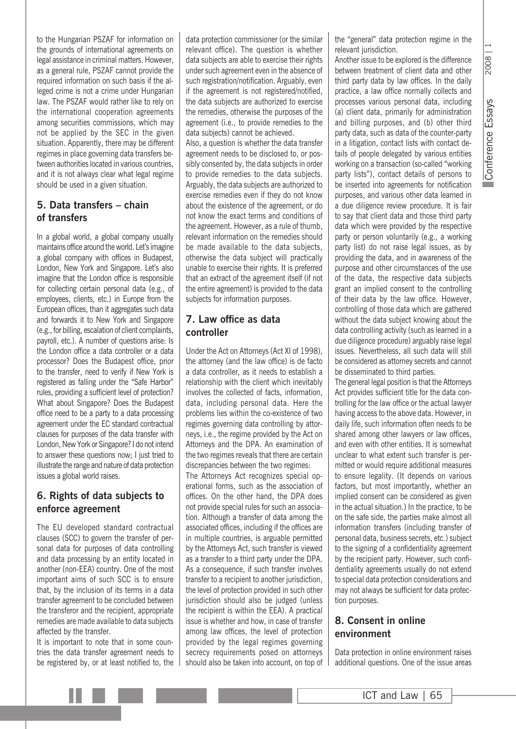to the Hungarian PSZAF for information on the grounds of international agreements on legal assistance in criminal matters. However, as a general rule, PSZAF cannot provide the required information on such basis if the alleged crime is not a crime under Hungarian law. The PSZAF would rather like to rely on the international cooperation agreements among securities commissions, which may not be applied by the SEC in the given situation. Apparently, there may be different regimes in place governing data transfers between authorities located in various countries, and it is not always clear what legal regime should be used in a given situation.

#### **5. Data transfers – chain of transfers**

In a global world, a global company usually maintains office around the world. Let's imagine a global company with offices in Budapest, London, New York and Singapore. Let's also imagine that the London office is responsible for collecting certain personal data (e.g., of employees, clients, etc.) in Europe from the European offices, than it aggregates such data and forwards it to New York and Singapore (e.g., for billing, escalation of client complaints, payroll, etc.). A number of questions arise: Is the London office a data controller or a data processor? Does the Budapest office, prior to the transfer, need to verify if New York is registered as falling under the "Safe Harbor" rules, providing a sufficient level of protection? What about Singapore? Does the Budapest office need to be a party to a data processing agreement under the EC standard contractual clauses for purposes of the data transfer with London, New York or Singapore? I do not intend to answer these questions now: I just tried to illustrate the range and nature of data protection issues a global world raises.

#### **6. Rights of data subjects to enforce agreement**

The EU developed standard contractual clauses (SCC) to govern the transfer of personal data for purposes of data controlling and data processing by an entity located in another (non-EEA) country. One of the most important aims of such SCC is to ensure that, by the inclusion of its terms in a data transfer agreement to be concluded between the transferor and the recipient, appropriate remedies are made available to data subjects affected by the transfer.

It is important to note that in some countries the data transfer agreement needs to be registered by, or at least notified to, the data protection commissioner (or the similar relevant office). The question is whether data subjects are able to exercise their rights under such agreement even in the absence of such registration/notification. Arguably, even if the agreement is not registered/notified, the data subjects are authorized to exercise the remedies, otherwise the purposes of the agreement (i.e., to provide remedies to the data subjects) cannot be achieved. Also, a question is whether the data transfer

agreement needs to be disclosed to, or possibly consented by, the data subjects in order to provide remedies to the data subjects. Arguably, the data subjects are authorized to exercise remedies even if they do not know about the existence of the agreement, or do not know the exact terms and conditions of the agreement. However, as a rule of thumb, relevant information on the remedies should be made available to the data subjects, otherwise the data subject will practically unable to exercise their rights. It is preferred that an extract of the agreement itself (if not the entire agreement) is provided to the data subjects for information purposes.

#### **7. Law office as data controller**

Under the Act on Attorneys (Act XI of 1998), the attorney (and the law office) is de facto a data controller, as it needs to establish a relationship with the client which inevitably involves the collected of facts, information, data, including personal data. Here the problems lies within the co-existence of two regimes governing data controlling by attorneys, i.e., the regime provided by the Act on Attorneys and the DPA. An examination of the two regimes reveals that there are certain discrepancies between the two regimes:

The Attorneys Act recognizes special operational forms, such as the association of offices. On the other hand, the DPA does not provide special rules for such an association. Although a transfer of data among the associated offices, including if the offices are in multiple countries, is arguable permitted by the Attorneys Act, such transfer is viewed as a transfer to a third party under the DPA. As a consequence, if such transfer involves transfer to a recipient to another jurisdiction, the level of protection provided in such other jurisdiction should also be judged (unless the recipient is within the EEA). A practical issue is whether and how, in case of transfer among law offices, the level of protection provided by the legal regimes governing secrecy requirements posed on attorneys should also be taken into account, on top of the "general" data protection regime in the relevant jurisdiction.

Another issue to be explored is the difference between treatment of client data and other third party data by law offices. In the daily practice, a law office normally collects and processes various personal data, including (a) client data, primarily for administration and billing purposes, and (b) other third party data, such as data of the counter-party in a litigation, contact lists with contact details of people delegated by various entities working on a transaction (so-called "working party lists"), contact details of persons to be inserted into agreements for notification purposes, and various other data learned in a due diligence review procedure. It is fair to say that client data and those third party data which were provided by the respective party or person voluntarily (e.g., a working party list) do not raise legal issues, as by providing the data, and in awareness of the purpose and other circumstances of the use of the data, the respective data subjects grant an implied consent to the controlling of their data by the law office. However, controlling of those data which are gathered without the data subject knowing about the data controlling activity (such as learned in a due diligence procedure) arguably raise legal issues. Nevertheless, all such data will still be considered as attorney secrets and cannot be disseminated to third parties.

The general legal position is that the Attorneys Act provides sufficient title for the data controlling for the law office or the actual lawyer having access to the above data. However, in daily life, such information often needs to be shared among other lawyers or law offices, and even with other entities. It is somewhat unclear to what extent such transfer is permitted or would require additional measures to ensure legality. (It depends on various factors, but most importantly, whether an implied consent can be considered as given in the actual situation.) In the practice, to be on the safe side, the parties make almost all information transfers (including transfer of personal data, business secrets, etc.) subject to the signing of a confidentiality agreement by the recipient party. However, such confidentiality agreements usually do not extend to special data protection considerations and may not always be sufficient for data protection purposes.

#### **8. Consent in online environment**

Data protection in online environment raises additional questions. One of the issue areas